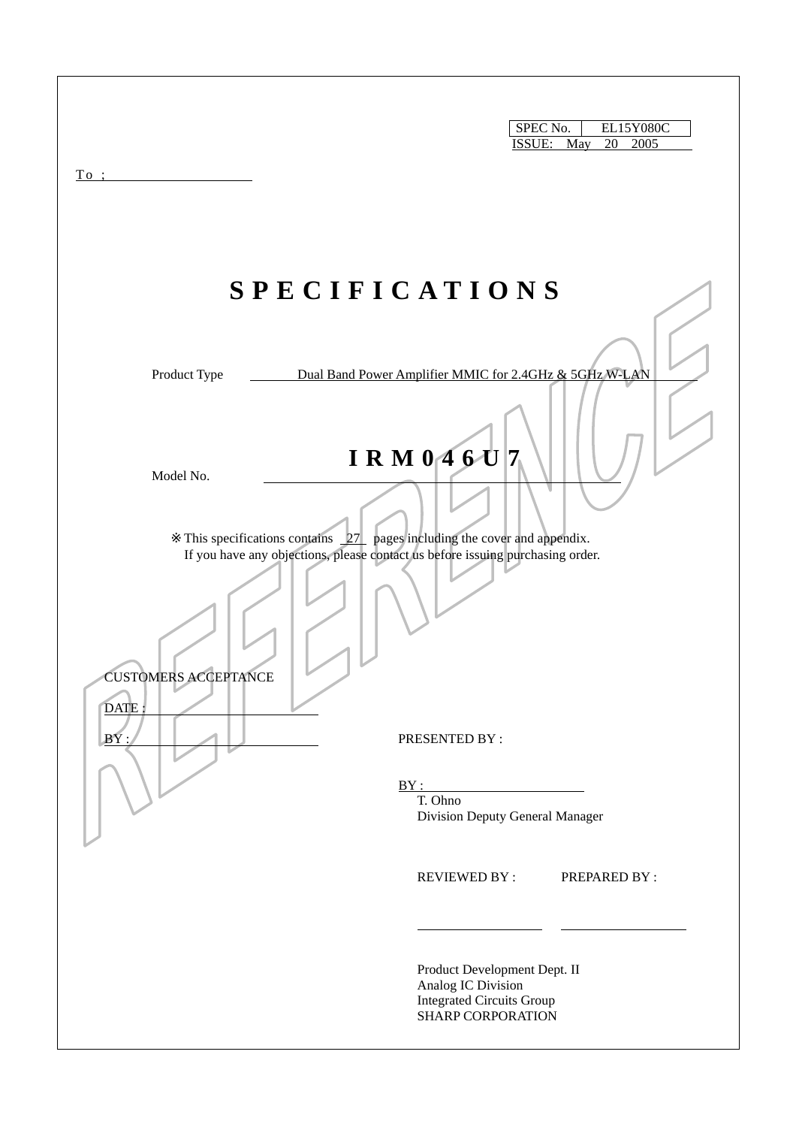| To:                                                                                                           | SPEC No.<br>EL15Y080C<br>ISSUE: May<br>20<br>2005                                                           |
|---------------------------------------------------------------------------------------------------------------|-------------------------------------------------------------------------------------------------------------|
|                                                                                                               | <b>SPECIFICATIONS</b>                                                                                       |
| Product Type<br>Model No.<br>This specifications contains $27$ pages including the cover and appendix.        | Dual Band Power Amplifier MMIC for 2.4GHz & 5GHz W-LAN<br>IRM $0.46U$ 7                                     |
| If you have any objections, please contact us before issuing purchasing order.<br><b>CUSTOMERS ACCEPTANCE</b> |                                                                                                             |
| DATE:<br>BY:                                                                                                  | PRESENTED BY:<br>BY:<br>T. Ohno<br>Division Deputy General Manager                                          |
|                                                                                                               | <b>REVIEWED BY:</b><br><b>PREPARED BY:</b>                                                                  |
|                                                                                                               | Product Development Dept. II<br>Analog IC Division<br><b>Integrated Circuits Group</b><br>SHARP CORPORATION |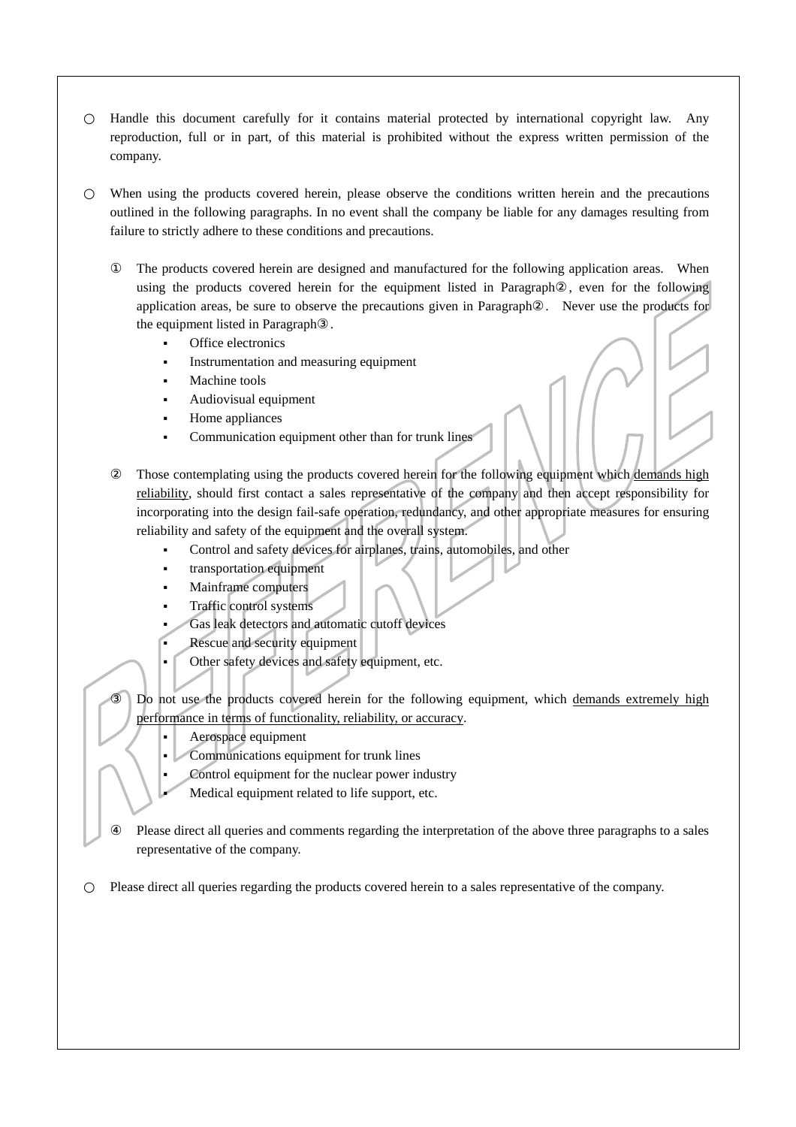Handle this document carefully for it contains material protected by international copyright law. Any reproduction, full or in part, of this material is prohibited without the express written permission of the company.

When using the products covered herein, please observe the conditions written herein and the precautions outlined in the following paragraphs. In no event shall the company be liable for any damages resulting from failure to strictly adhere to these conditions and precautions.

The products covered herein are designed and manufactured for the following application areas. When using the products covered herein for the equipment listed in Paragraph , even for the following application areas, be sure to observe the precautions given in Paragraph . Never use the products for the equipment listed in Paragraph .

- Office electronics
- Instrumentation and measuring equipment
- Machine tools
- Audiovisual equipment
- Home appliances
- Communication equipment other than for trunk lines

Those contemplating using the products covered herein for the following equipment which demands high reliability, should first contact a sales representative of the company and then accept responsibility for incorporating into the design fail-safe operation, redundancy, and other appropriate measures for ensuring reliability and safety of the equipment and the overall system.

- Control and safety devices for airplanes, trains, automobiles, and other
- transportation equipment
- Mainframe computers
- Traffic control systems
- Gas leak detectors and automatic cutoff devices
- Rescue and security equipment
- Other safety devices and safety equipment, etc.

Do not use the products covered herein for the following equipment, which demands extremely high performance in terms of functionality, reliability, or accuracy.

- Aerospace equipment
- Communications equipment for trunk lines
- Control equipment for the nuclear power industry
- Medical equipment related to life support, etc.

Please direct all queries and comments regarding the interpretation of the above three paragraphs to a sales representative of the company.

Please direct all queries regarding the products covered herein to a sales representative of the company.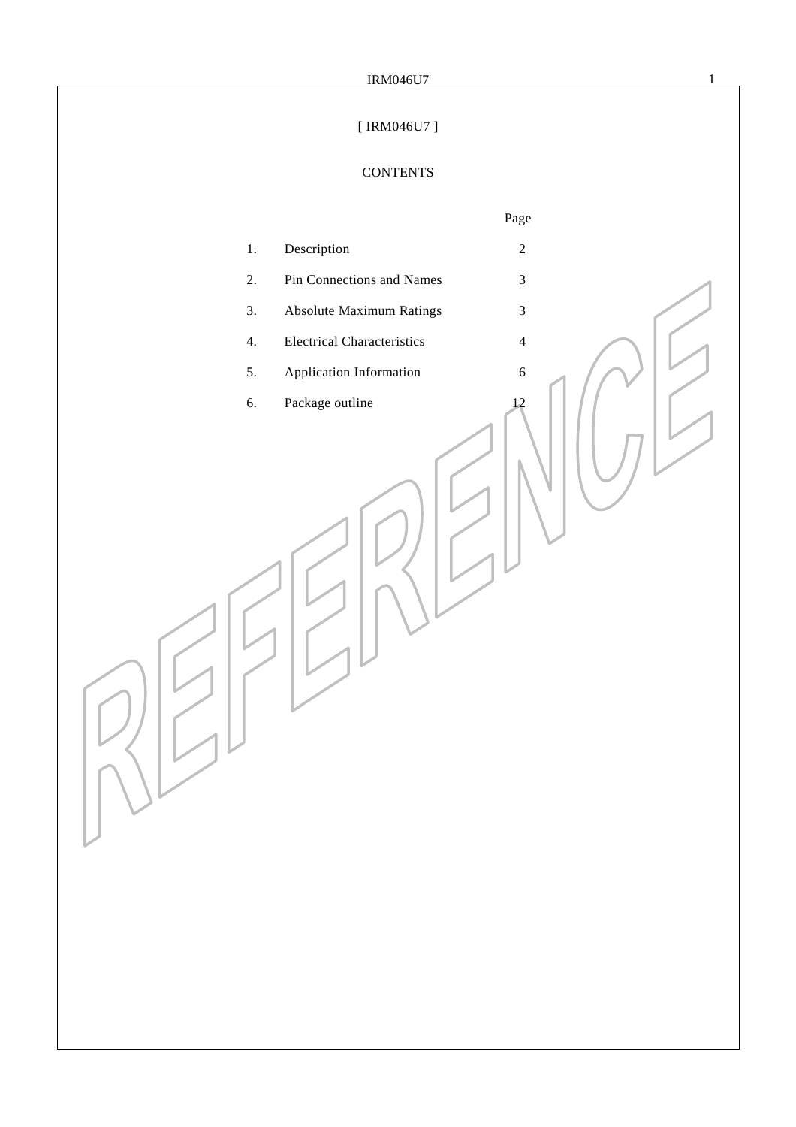# [ IRM046U7 ]

# **CONTENTS**

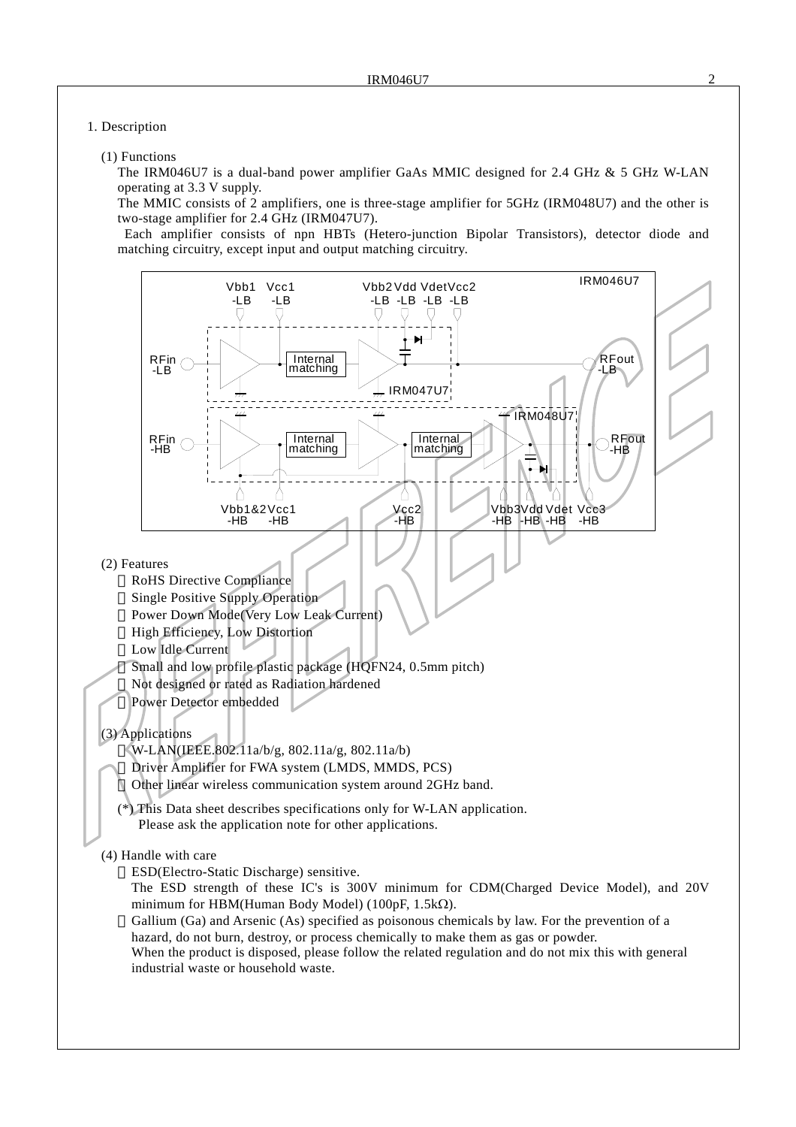#### 1. Description

#### (1) Functions

The IRM046U7 is a dual-band power amplifier GaAs MMIC designed for 2.4 GHz & 5 GHz W-LAN operating at 3.3 V supply.

The MMIC consists of 2 amplifiers, one is three-stage amplifier for 5GHz (IRM048U7) and the other is two-stage amplifier for 2.4 GHz (IRM047U7).

 Each amplifier consists of npn HBTs (Hetero-junction Bipolar Transistors), detector diode and matching circuitry, except input and output matching circuitry.

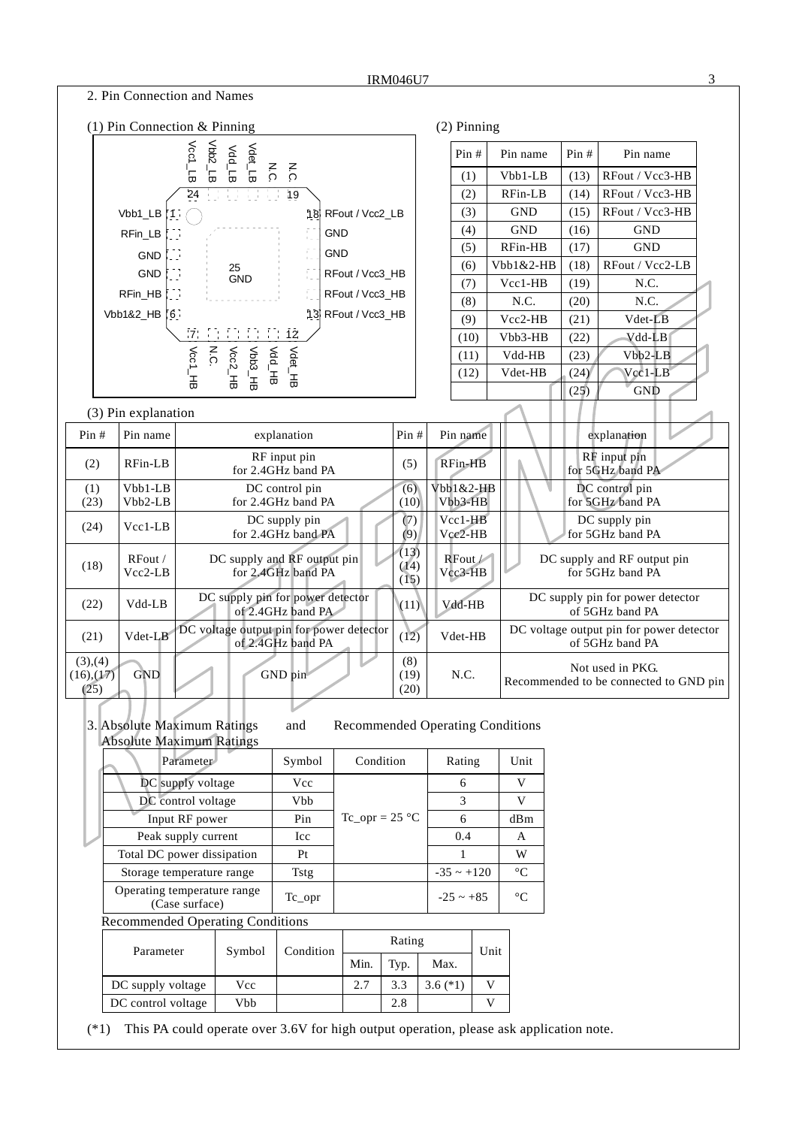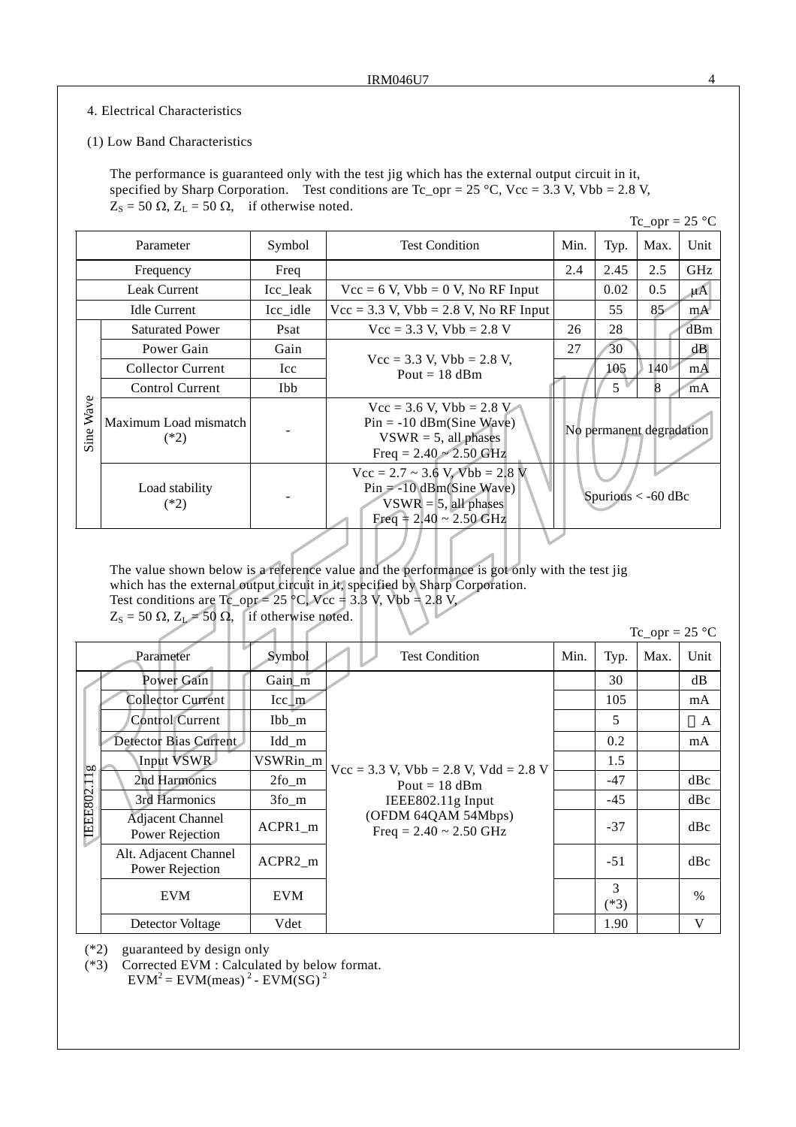### 4. Electrical Characteristics

#### (1) Low Band Characteristics

The performance is guaranteed only with the test jig which has the external output circuit in it, specified by Sharp Corporation. Test conditions are  $Tc\_opr = 25 °C$ ,  $Vcc = 3.3 V$ ,  $Vbb = 2.8 V$ ,  $Z_s = 50 \Omega$ ,  $Z_L = 50 \Omega$ , if otherwise noted.

|                     |                                 |                       |                                                                                                                                                     |      |                          | $Tc\_opr = 25 °C$ |         |
|---------------------|---------------------------------|-----------------------|-----------------------------------------------------------------------------------------------------------------------------------------------------|------|--------------------------|-------------------|---------|
| Symbol<br>Parameter |                                 | <b>Test Condition</b> | Min.                                                                                                                                                | Typ. | Max.                     | Unit              |         |
|                     | Frequency                       | Freq                  |                                                                                                                                                     |      | 2.45                     | 2.5               | GHz     |
|                     | <b>Leak Current</b>             | Icc leak              | $Vec = 6$ V, $Vbb = 0$ V, No RF Input                                                                                                               |      | 0.02                     | 0.5               | $\mu$ A |
|                     | <b>Idle Current</b>             | Icc_idle              | $\text{Vcc} = 3.3 \text{ V}$ , $\text{Vbb} = 2.8 \text{ V}$ , No RF Input                                                                           |      | 55                       | 85 <sup>2</sup>   | mA      |
|                     | <b>Saturated Power</b>          | Psat                  | $Vec = 3.3$ V, $Vbb = 2.8$ V                                                                                                                        | 26   | 28                       |                   | dBm     |
|                     | Power Gain                      | Gain                  | $Vec = 3.3$ V, $Vbb = 2.8$ V,<br>Pout = $18$ dBm                                                                                                    |      | 30                       |                   | dB      |
|                     | <b>Collector Current</b>        | Icc                   |                                                                                                                                                     |      | 105                      | 140 <sup>°</sup>  | mA      |
|                     | Control Current                 | <b>Ibb</b>            |                                                                                                                                                     |      | $5^{\circ}$              | <sup>8</sup>      | mA      |
| Wave<br>Sine        | Maximum Load mismatch<br>$(*2)$ |                       | $\text{Vcc} = 3.6 \text{ V}, \text{Vbb} = 2.8 \text{ V}$<br>$Pin = -10$ dBm(Sine Wave)<br>$VSWR = 5$ , all phases<br>Freq = $2.40 \approx 2.50$ GHz |      | No permanent degradation |                   |         |
|                     | Load stability<br>$(*2)$        |                       | $Vec = 2.7 \sim 3.6$ V, $Vbb = 2.8$ V<br>$Pin = -10$ dBm(Sine Wave)<br>$VSWR = 5$ , all phases<br>Freq = $2.40 \sim 2.50$ GHz                       |      | Spurious $<$ -60 dBc     |                   |         |

The value shown below is a reference value and the performance is got only with the test jig which has the external output circuit in it, specified by Sharp Corporation. Test conditions are  $Tc\_opp = 25$  °C,  $Vcc = 3.3$  V, Vbb = 2.8 V,

 $Z_s = 50 \Omega$ ,  $Z_L = 50 \Omega$ , if otherwise noted.

|            |                                            |                        |                                                                                                                                           |      |             | $Tc\_opr = 25 °C$ |      |
|------------|--------------------------------------------|------------------------|-------------------------------------------------------------------------------------------------------------------------------------------|------|-------------|-------------------|------|
|            | Parameter                                  | Symbol                 | <b>Test Condition</b>                                                                                                                     | Min. | Typ.        | Max.              | Unit |
|            | Power Gain                                 | Gain_m                 |                                                                                                                                           |      | 30          |                   | dB   |
|            | <b>Collector Current</b>                   | $\text{Icc}_{\perp}$ m |                                                                                                                                           |      | 105         |                   | mA   |
|            | <b>Control Current</b>                     | Ibb_m                  |                                                                                                                                           |      | 5           |                   | A    |
|            | Detector Bias Current                      | Idd_m                  |                                                                                                                                           |      | 0.2         |                   | mA   |
| bo         | Input VSWR                                 | VSWRin_m               | $Vec = 3.3$ V, $Vbb = 2.8$ V, $Vdd = 2.8$ V<br>Pout = $18$ dBm<br>IEEE802.11g Input<br>(OFDM 64QAM 54Mbps)<br>Freq = $2.40 \sim 2.50$ GHz |      | 1.5         |                   |      |
|            | 2nd Harmonics                              | $2fo$ _m               |                                                                                                                                           |      | $-47$       |                   | dBc  |
|            | 3rd Harmonics                              | $3f_0$ _m              |                                                                                                                                           |      | $-45$       |                   | dBc  |
| IEEE802.11 | <b>Adjacent Channel</b><br>Power Rejection | $ACPR1_m$              |                                                                                                                                           |      | $-37$       |                   | dBc  |
|            | Alt. Adjacent Channel<br>Power Rejection   | ACPR2_m                |                                                                                                                                           |      | $-51$       |                   | dBc  |
|            | <b>EVM</b>                                 | <b>EVM</b>             |                                                                                                                                           |      | 3<br>$(*3)$ |                   | $\%$ |
|            | Detector Voltage                           | Vdet                   |                                                                                                                                           |      | 1.90        |                   | V    |

(\*2) guaranteed by design only

(\*3) Corrected EVM : Calculated by below format.  $EVM<sup>2</sup> = EVM(meas)<sup>2</sup> - EVM(SG)<sup>2</sup>$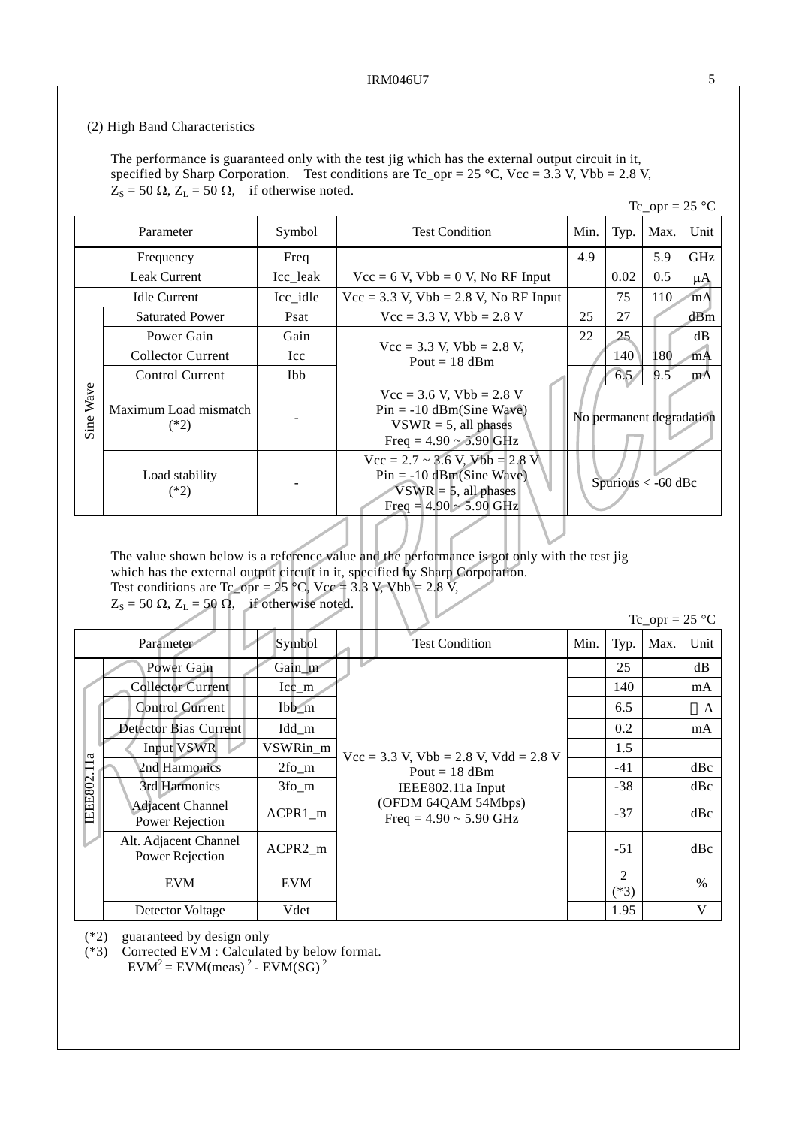#### (2) High Band Characteristics

The performance is guaranteed only with the test jig which has the external output circuit in it, specified by Sharp Corporation. Test conditions are  $Tc\_opr = 25 °C$ ,  $Vcc = 3.3 V$ ,  $Vbb = 2.8 V$ ,  $Z_s = 50 \Omega$ ,  $Z_L = 50 \Omega$ , if otherwise noted.

|                           |                                 |                       |                                                                                                                               |      |      | $Tc\_opr = 25 °C$        |         |
|---------------------------|---------------------------------|-----------------------|-------------------------------------------------------------------------------------------------------------------------------|------|------|--------------------------|---------|
| Parameter<br>Symbol       |                                 | <b>Test Condition</b> | Min.                                                                                                                          | Typ. | Max. | Unit                     |         |
|                           | Frequency                       | Freq                  |                                                                                                                               | 4.9  |      | 5.9                      | GHz     |
|                           | <b>Leak Current</b>             | Icc_leak              | $\text{Vcc} = 6 \text{ V}$ , $\text{Vbb} = 0 \text{ V}$ , No RF Input                                                         |      | 0.02 | 0.5                      | $\mu A$ |
|                           | <b>Idle Current</b>             | Icc idle              | $\text{Vcc} = 3.3 \text{ V}$ , $\text{Vbb} = 2.8 \text{ V}$ , No RF Input                                                     |      | 75   | 110                      | mA      |
|                           | <b>Saturated Power</b>          | Psat                  | $Vec = 3.3$ V, $Vbb = 2.8$ V                                                                                                  | 25   | 27   |                          | dBm     |
|                           | Power Gain                      | Gain                  | $\text{Vcc} = 3.3 \text{ V}, \text{Vbb} = 2.8 \text{ V},$<br>Pout = $18$ dBm                                                  |      | 25   |                          | dB      |
|                           | <b>Collector Current</b>        | Icc                   |                                                                                                                               |      | 140  | 180                      | mA      |
|                           | Control Current                 | Ibb                   |                                                                                                                               |      | 6.5  | 9.5                      | mA      |
| Wave<br>Sine <sup>-</sup> | Maximum Load mismatch<br>$(*2)$ |                       | $Vec = 3.6$ V, $Vbb = 2.8$ V<br>$Pin = -10$ dBm(Sine Wave)<br>$VSWR = 5$ , all phases<br>Freq = $4.90 \sim 5.90$ GHz          |      |      | No permanent degradation |         |
|                           | Load stability<br>$(*2)$        |                       | $Vec = 2.7 \sim 3.6$ V, $Vbb = 2.8$ V<br>$Pin = -10$ dBm(Sine Wave)<br>$VSWR = 5$ , all phases<br>Freq = $4.90 \sim 5.90$ GHz |      |      | Spurious $<$ -60 dBc     |         |

The value shown below is a reference value and the performance is got only with the test jig which has the external output circuit in it, specified by Sharp Corporation. Test conditions are Tc\_opr = 25 °C, Vcc = 3.3 V, Vbb = 2.8 V,

 $Z_s = 50 \Omega$ ,  $Z_L = 50 \Omega$ , if otherwise noted.

| IC opr $\equiv 25$ | ່າເ | °∩ |
|--------------------|-----|----|
|--------------------|-----|----|

|          |                                            |            |                                                                                                                                              |      |             | 10 $V_{\rm PL} = 2J_{\rm V}$ |      |
|----------|--------------------------------------------|------------|----------------------------------------------------------------------------------------------------------------------------------------------|------|-------------|------------------------------|------|
|          | Parameter                                  | Symbol     | <b>Test Condition</b>                                                                                                                        | Min. | Typ.        | Max.                         | Unit |
|          | Power Gain                                 | Gain_m     |                                                                                                                                              |      | 25          |                              | dB   |
|          | <b>Collector Current</b>                   | $Icc_{m}$  |                                                                                                                                              |      | 140         |                              | mA   |
|          | <b>Control Current</b>                     | $Ibb\_m$   |                                                                                                                                              |      | 6.5         |                              | A    |
|          | Detector Bias Current                      | Idd_m      |                                                                                                                                              |      | 0.2         |                              | mA   |
| ದ        | <b>Input VSWR</b>                          | VSWRin_m   | $Vec = 3.3$ V, $Vbb = 2.8$ V, $Vdd = 2.8$ V<br>Pout = $18$ dBm<br>IEEE802.11a Input<br>(OFDM 64QAM 54Mbps)<br>Freq = $4.90 \approx 5.90$ GHz |      | 1.5         |                              |      |
|          | 2nd Harmonics                              | $2f_0$ _m  |                                                                                                                                              |      | $-41$       |                              | dBc  |
|          | 3rd Harmonics                              | $3f_0$ _m  |                                                                                                                                              |      | $-38$       |                              | dBc  |
| IEEE802. | <b>Adjacent Channel</b><br>Power Rejection | $ACPR1_m$  |                                                                                                                                              |      | $-37$       |                              | dBc  |
|          | Alt. Adjacent Channel<br>Power Rejection   | ACPR2_m    |                                                                                                                                              |      | $-51$       |                              | dBc  |
|          | <b>EVM</b>                                 | <b>EVM</b> |                                                                                                                                              |      | 2<br>$(*3)$ |                              | $\%$ |
|          | Detector Voltage                           | Vdet       |                                                                                                                                              |      | 1.95        |                              | V    |

(\*2) guaranteed by design only

(\*3) Corrected EVM : Calculated by below format.  $EVM^2 = EVM(meas)^2 - EVM(SG)^2$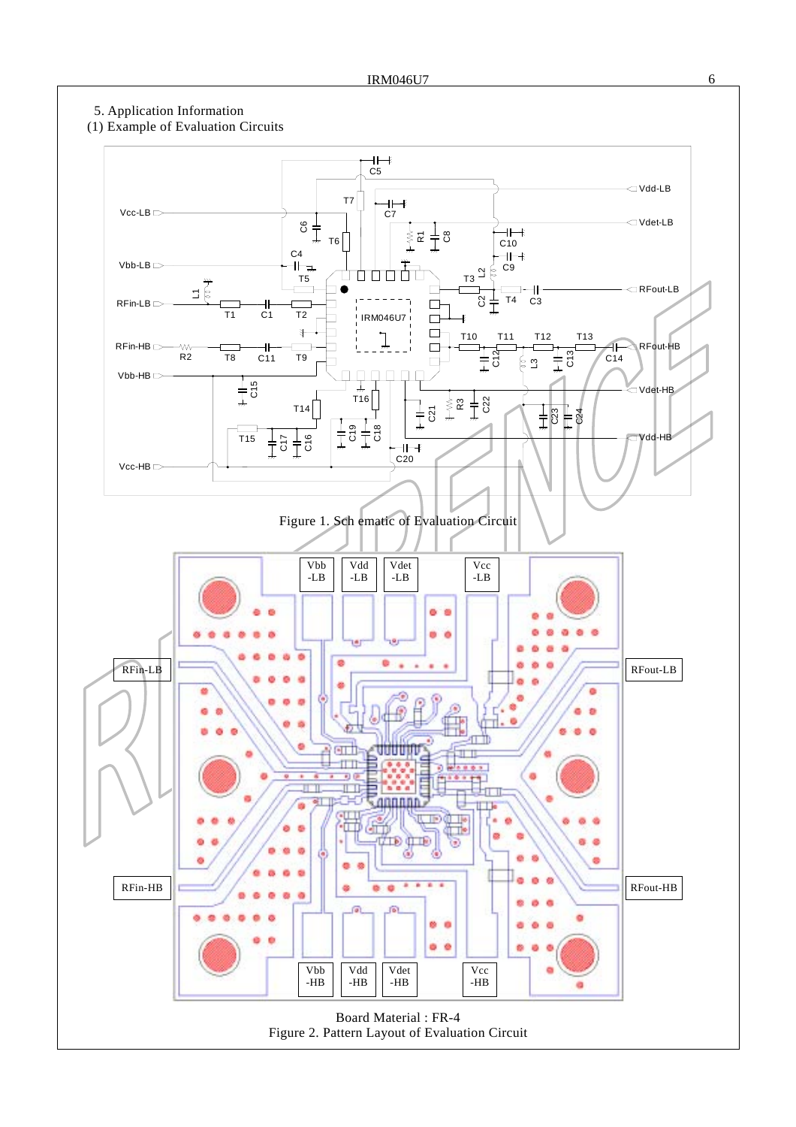### 5. Application Information

### (1) Example of Evaluation Circuits

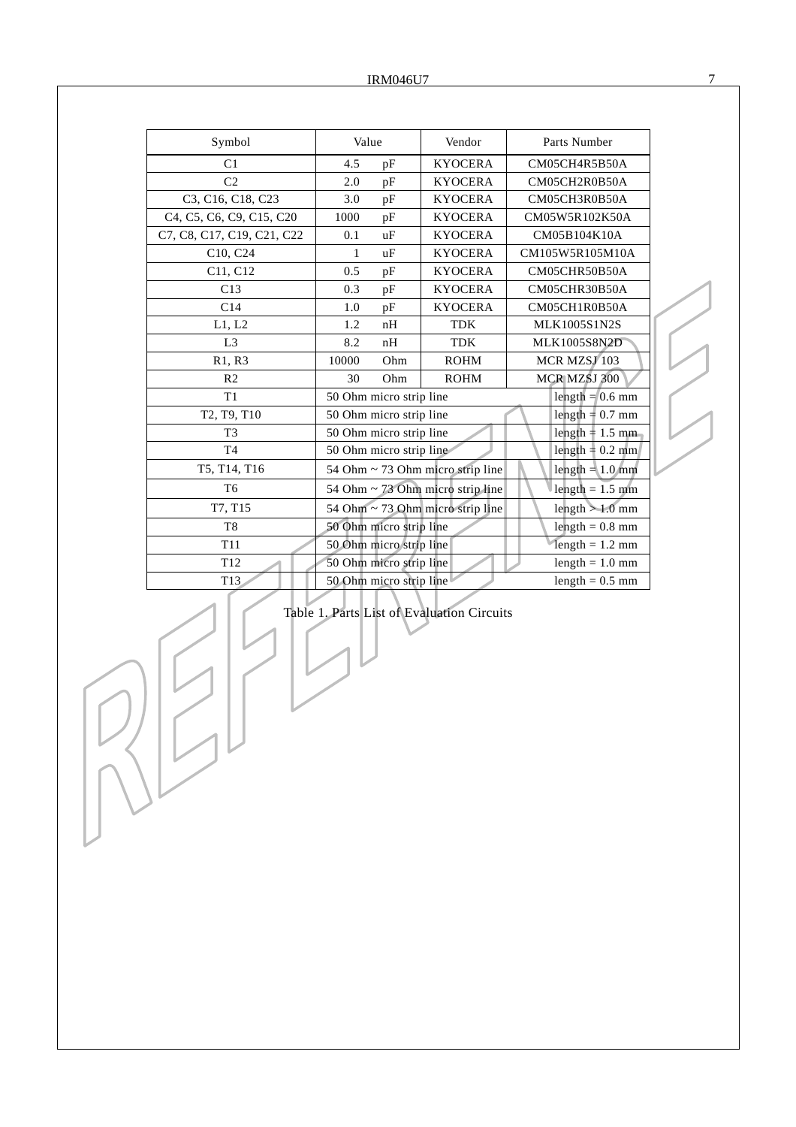| Symbol                                            | Value |                         | Vendor                                | Parts Number                     |
|---------------------------------------------------|-------|-------------------------|---------------------------------------|----------------------------------|
| C <sub>1</sub>                                    | 4.5   | pF                      | <b>KYOCERA</b>                        | CM05CH4R5B50A                    |
| C <sub>2</sub>                                    | 2.0   | pF                      | <b>KYOCERA</b>                        | CM05CH2R0B50A                    |
| C3, C16, C18, C23                                 | 3.0   | pF                      | <b>KYOCERA</b>                        | CM05CH3R0B50A                    |
| C4, C5, C6, C9, C15, C20                          | 1000  | pF                      | <b>KYOCERA</b>                        | CM05W5R102K50A                   |
| C7, C8, C17, C19, C21, C22                        | 0.1   | uF                      | <b>KYOCERA</b>                        | CM05B104K10A                     |
| C10, C24                                          | 1     | uF                      | <b>KYOCERA</b>                        | CM105W5R105M10A                  |
| C11, C12                                          | 0.5   | pF                      | <b>KYOCERA</b>                        | CM05CHR50B50A                    |
| C13                                               | 0.3   | pF                      | <b>KYOCERA</b>                        | CM05CHR30B50A                    |
| C14                                               | 1.0   | pF                      | <b>KYOCERA</b>                        | CM05CH1R0B50A                    |
| L1, L2                                            | 1.2   | nH                      | <b>TDK</b>                            | MLK1005S1N2S                     |
| L3                                                | 8.2   | nH                      | <b>TDK</b>                            | <b>MLK1005S8N2D</b>              |
| R1, R3                                            | 10000 | Ohm                     | <b>ROHM</b>                           | MCR MZSJ 103                     |
| R <sub>2</sub>                                    | 30    | Ohm                     | <b>ROHM</b>                           | MCR MZSJ 300                     |
| T1                                                |       | 50 Ohm micro strip line |                                       | length $= 0.6$ mm                |
| T <sub>2</sub> , T <sub>9</sub> , T <sub>10</sub> |       | 50 Ohm micro strip line |                                       | length $= 0.7$ mm                |
| T <sub>3</sub>                                    |       | 50 Ohm micro strip line |                                       | length = $1.5$ mm                |
| T <sub>4</sub>                                    |       | 50 Ohm micro strip line |                                       | length = $0.2$ mm                |
| T5, T14, T16                                      |       |                         | 54 Ohm $\sim$ 73 Ohm micro strip line | length $= 1.0$ mm                |
| T <sub>6</sub>                                    |       |                         | 54 Ohm ~ 73 Ohm micro strip line      | length $= 1.5$ mm                |
| T7, T15                                           |       |                         | 54 Ohm ~ 73 Ohm micro strip line      | length $> 1.0$ mm                |
| T <sub>8</sub>                                    |       | 50 Ohm micro strip line |                                       | $length = 0.8$ mm                |
| T <sub>11</sub>                                   |       | 50 Ohm micro strip line |                                       | $\text{length} = 1.2 \text{ mm}$ |
| T12                                               |       | 50 Ohm micro strip line |                                       | $length = 1.0$ mm                |
| T13                                               |       | 50 Ohm micro strip line |                                       | $length = 0.5$ mm                |

Table 1. Parts List of Evaluation Circuits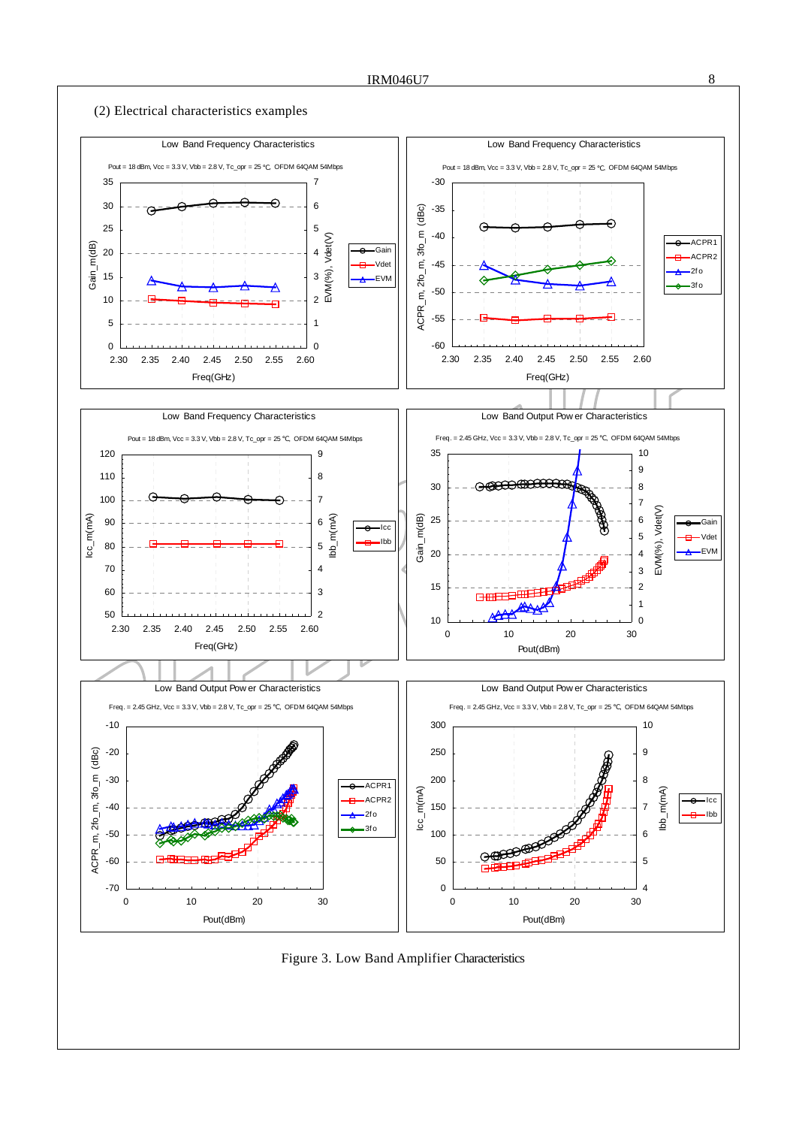

Figure 3. Low Band Amplifier Characteristics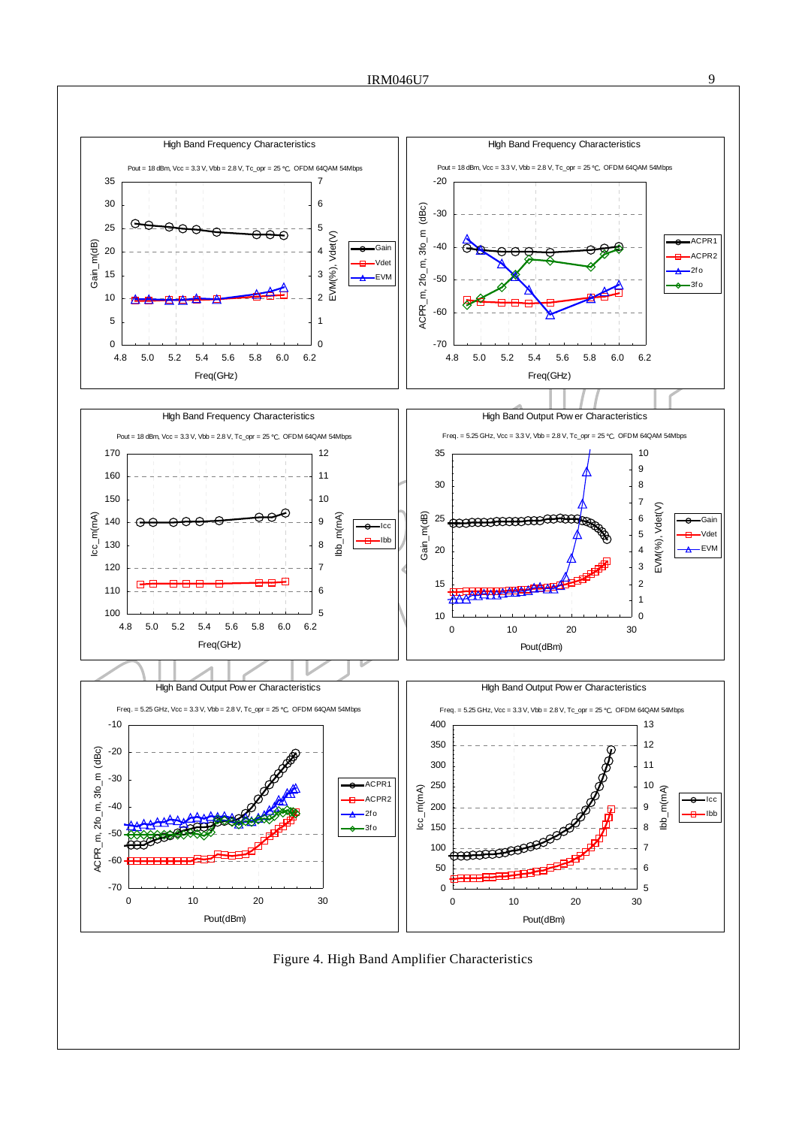

Figure 4. High Band Amplifier Characteristics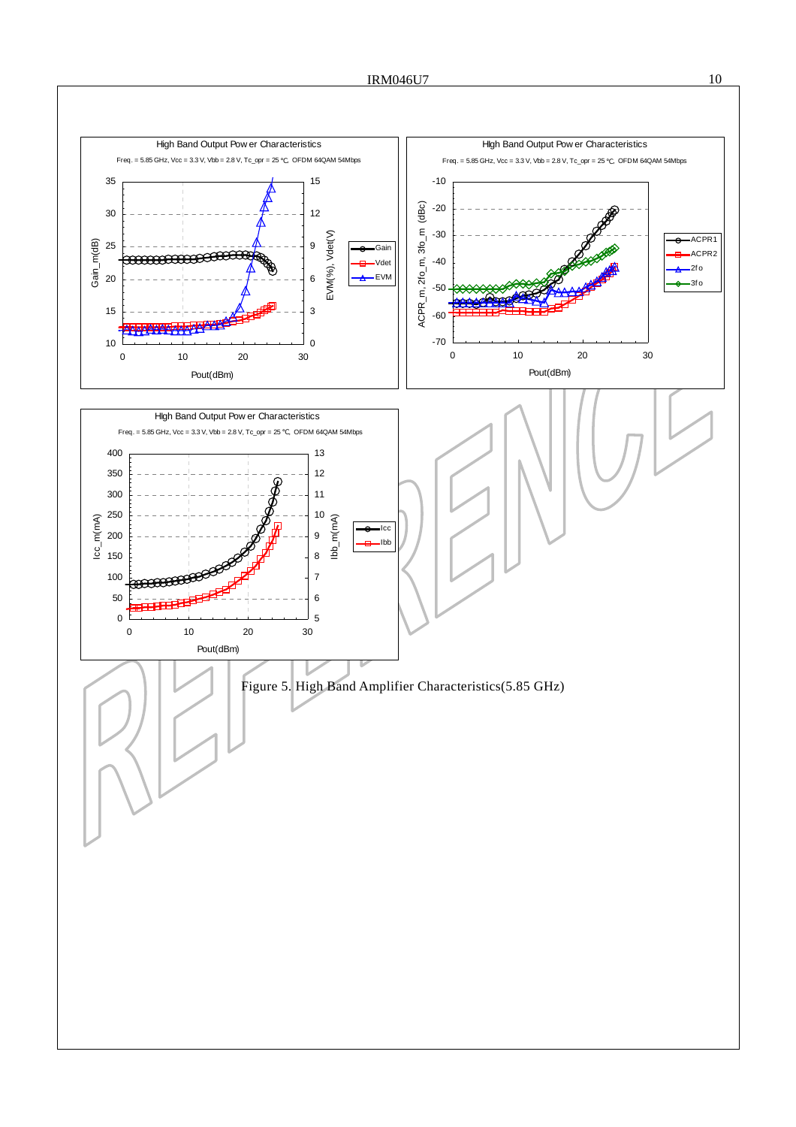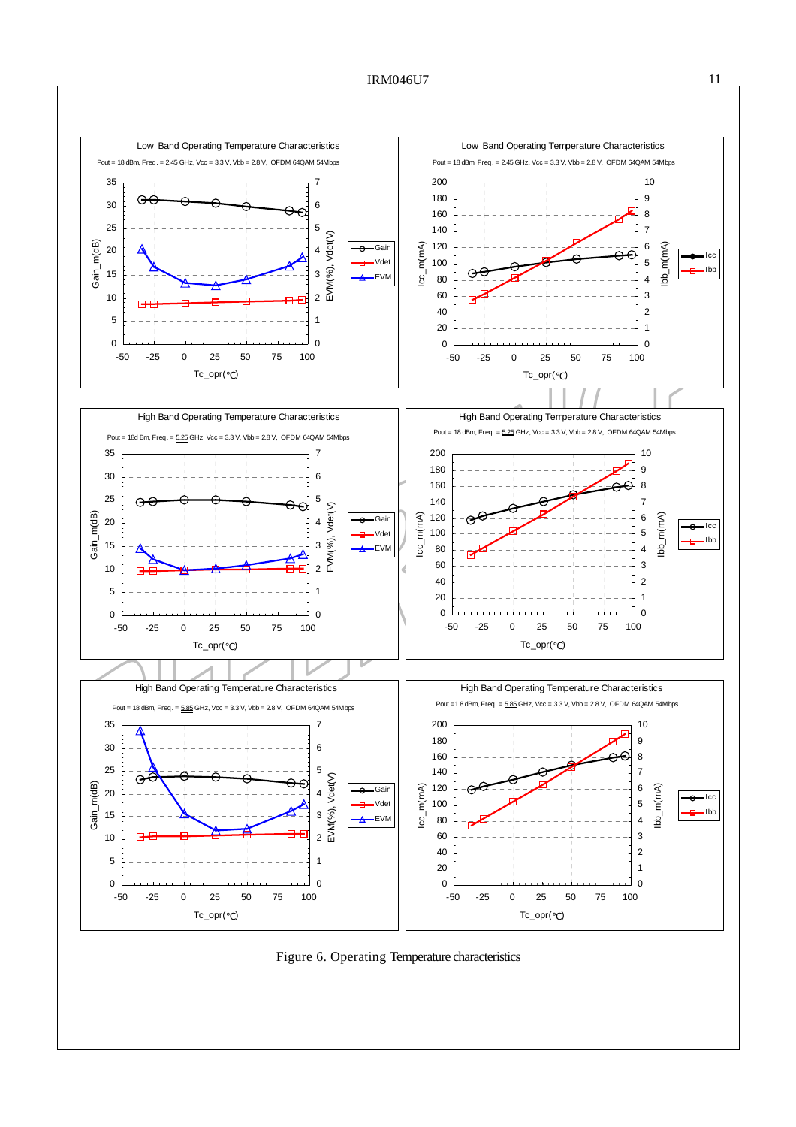

Figure 6. Operating Temperature characteristics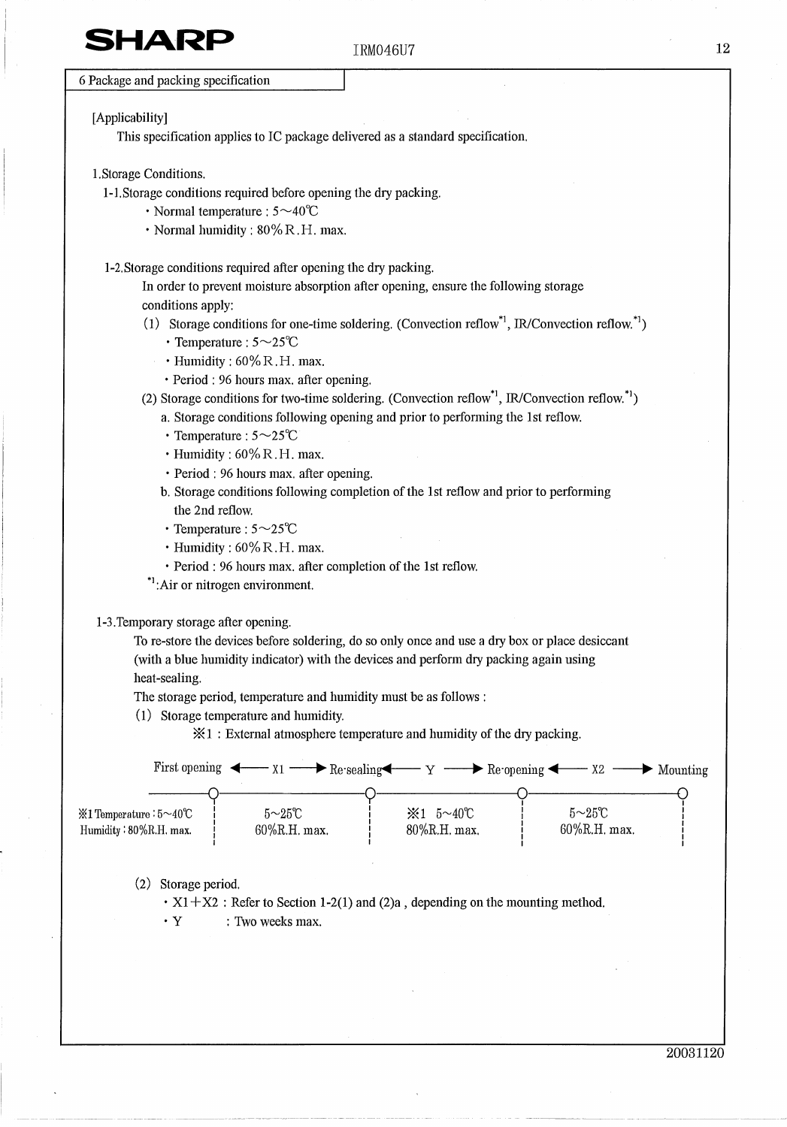# SHARI

#### IRM046U7

6 Package and packing specification

#### [Applicability]

This specification applies to IC package delivered as a standard specification.

- 1. Storage Conditions.
	- 1-1. Storage conditions required before opening the dry packing.
		- Normal temperature :  $5 \sim 40^{\circ}$ C
		- · Normal humidity : 80% R.H. max.

1-2. Storage conditions required after opening the dry packing.

In order to prevent moisture absorption after opening, ensure the following storage conditions apply:

- (1) Storage conditions for one-time soldering. (Convection reflow,  $\mu$ , IR/Convection reflow,  $\mu$ )
	- $\cdot$  Temperature :  $5 \sim 25^{\circ}C$
	- $\cdot$  Humidity : 60% R.H. max.
	- · Period : 96 hours max. after opening.
- (2) Storage conditions for two-time soldering. (Convection reflow<sup>\*1</sup>, IR/Convection reflow.<sup>\*1</sup>)
	- a. Storage conditions following opening and prior to performing the 1st reflow.
		- $\cdot$  Temperature :  $5 \sim 25^{\circ}C$
	- · Humidity: 60% R.H. max.
	- · Period : 96 hours max, after opening.
	- b. Storage conditions following completion of the 1st reflow and prior to performing the 2nd reflow.
	- $\cdot$  Temperature :  $5 \sim 25^{\circ}C$
	- $\cdot$  Humidity : 60% R.H. max.
	- · Period : 96 hours max. after completion of the 1st reflow.
- \*<sup>1</sup>:Air or nitrogen environment.

#### 1-3. Temporary storage after opening.

To re-store the devices before soldering, do so only once and use a dry box or place desiccant (with a blue humidity indicator) with the devices and perform dry packing again using heat-sealing.

The storage period, temperature and humidity must be as follows :

(1) Storage temperature and humidity.

 $\mathcal{K}1$ : External atmosphere temperature and humidity of the dry packing.

|                        | First opening $\leftarrow x_1 \rightarrow \text{Re-scaling} \rightarrow x_2 \rightarrow \text{Re-opening} \rightarrow x_2$ |                                       |                | $\longrightarrow$ Mounting |
|------------------------|----------------------------------------------------------------------------------------------------------------------------|---------------------------------------|----------------|----------------------------|
| ※1 Temperature:5~40℃   | $5\sim25\degree$ C                                                                                                         | $\text{\%}1 \quad 5 \sim 40^{\circ}C$ | $5 \sim 25$ °C |                            |
| Humidity: 80%R.H. max. | $60\%$ R.H. max.                                                                                                           | 80%R.H. max.                          | 60%R.H. max.   |                            |

#### (2) Storage period.

 $\cdot$  X1 + X2 : Refer to Section 1-2(1) and (2)a, depending on the mounting method.

 $\cdot$  Y : Two weeks max.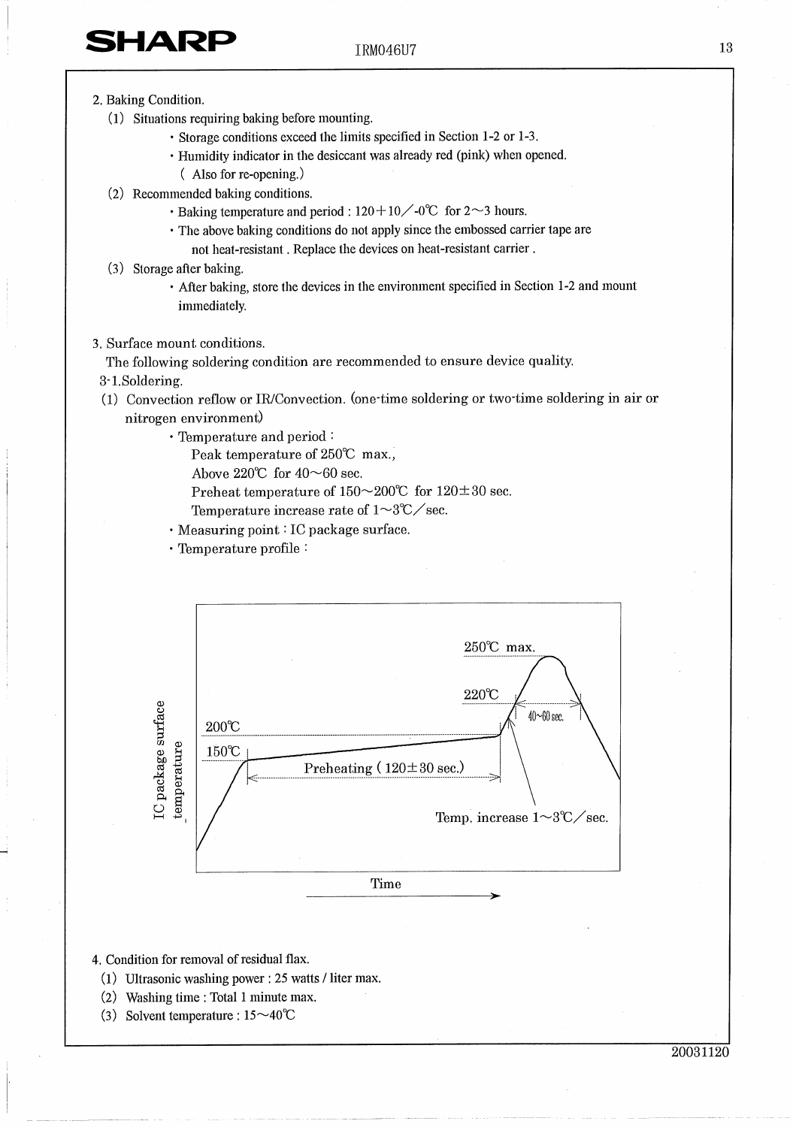- 2. Baking Condition.
	- (1) Situations requiring baking before mounting.
		- · Storage conditions exceed the limits specified in Section 1-2 or 1-3.
		- Humidity indicator in the desiccant was already red (pink) when opened. (Also for re-opening.)
	- (2) Recommended baking conditions.
		- $\cdot$  Baking temperature and period : 120 + 10  $\diagup$  -0°C for 2  $\sim$  3 hours.
		- The above baking conditions do not apply since the embossed carrier tape are not heat-resistant. Replace the devices on heat-resistant carrier.
	- (3) Storage after baking.
		- After baking, store the devices in the environment specified in Section 1-2 and mount immediately.
- 3. Surface mount conditions.

The following soldering condition are recommended to ensure device quality.

- 3-1.Soldering.
- (1) Convection reflow or IR/Convection. (one time soldering or two time soldering in air or nitrogen environment)
	- · Temperature and period:

Peak temperature of 250℃ max.,

Above 220°C for  $40 \sim 60$  sec.

Preheat temperature of  $150 \sim 200$ °C for  $120 \pm 30$  sec.

Temperature increase rate of  $1\mathtt{\sim}3\mathtt{^{\circ}C}\mathtt{\mathcal{\mathcal{S}ec}.}$ 

· Measuring point : IC package surface.

· Temperature profile:



- 4. Condition for removal of residual flax.
	- (1) Ultrasonic washing power : 25 watts / liter max.
	- (2) Washing time : Total 1 minute max.
	- (3) Solvent temperature :  $15 \sim 40^{\circ}$ C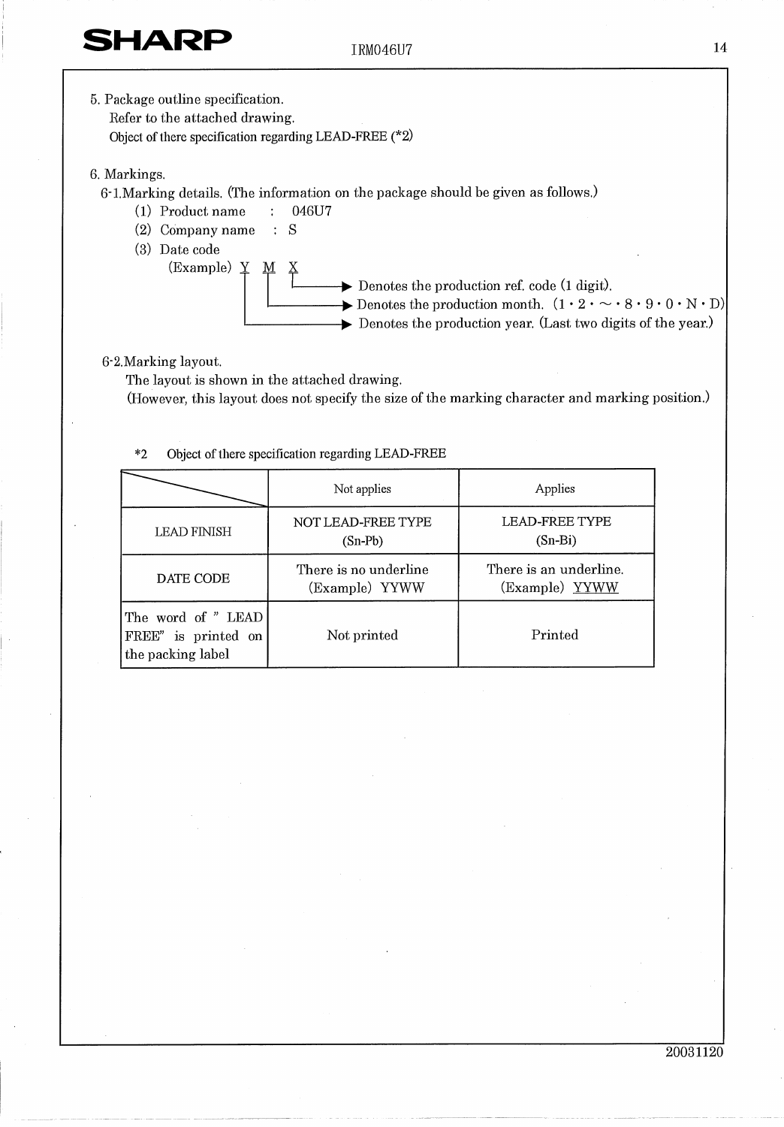- 14
- 5. Package outline specification. Refer to the attached drawing. Object of there specification regarding LEAD-FREE  $(*2)$ 6. Markings. 6-1. Marking details. (The information on the package should be given as follows.) (1) Product name  $\mathcal{L}^{\pm}$ 046U7  $(2)$  Company name : S (3) Date code (Example)  $Y$  $M X$  $\rightarrow$  Denotes the production ref. code (1 digit).  $\rightarrow$  Denotes the production month.  $(1 \cdot 2 \cdot \sim \cdot 8 \cdot 9 \cdot 0 \cdot N \cdot D)$  $\triangleright$  Denotes the production year. (Last two digits of the year.)

### 6-2. Marking layout.

The layout is shown in the attached drawing.

(However, this layout does not specify the size of the marking character and marking position.)

|                                                                | Not applies                     | Applies                                  |
|----------------------------------------------------------------|---------------------------------|------------------------------------------|
| <b>LEAD FINISH</b>                                             | NOT LEAD-FREE TYPE<br>$(Sn-Pb)$ | <b>LEAD-FREE TYPE</b><br>$(Sn-Bi)$       |
| There is no underline<br>DATE CODE<br>(Example) YYWW           |                                 | There is an underline.<br>(Example) YYWW |
| The word of "LEAD"<br>FREE" is printed on<br>the packing label | Not printed                     | Printed                                  |

#### Object of there specification regarding LEAD-FREE  $*2$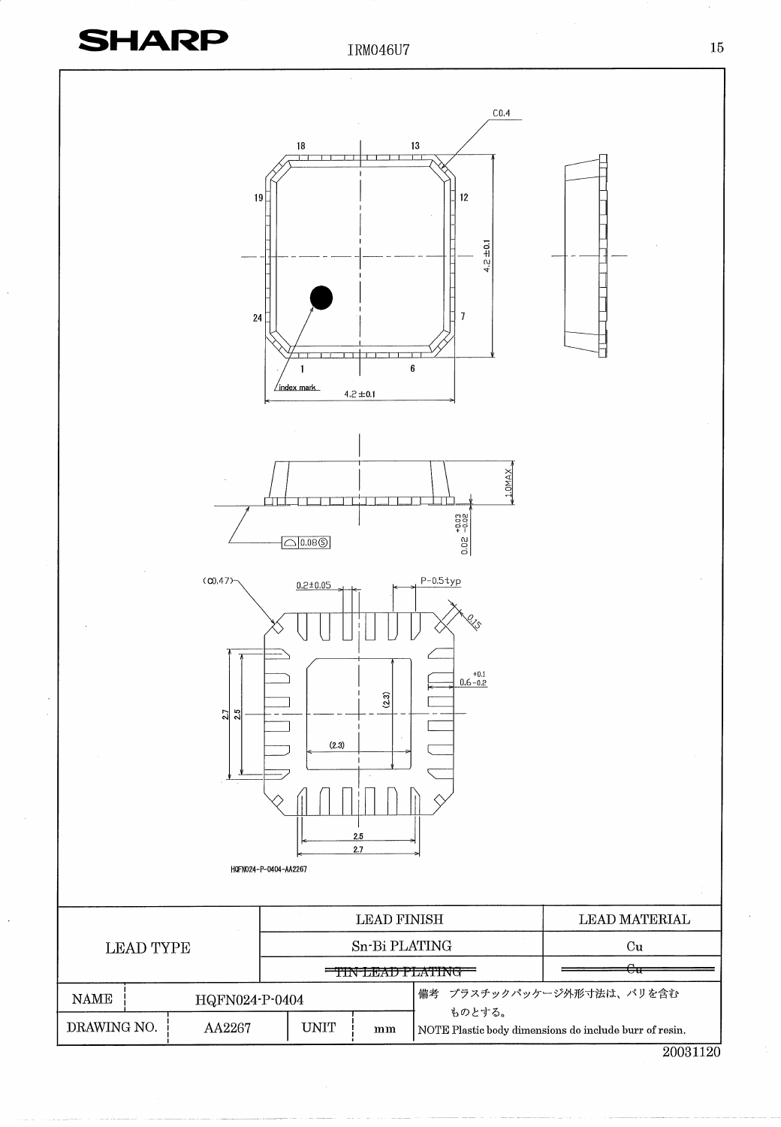

20031120

 $15\,$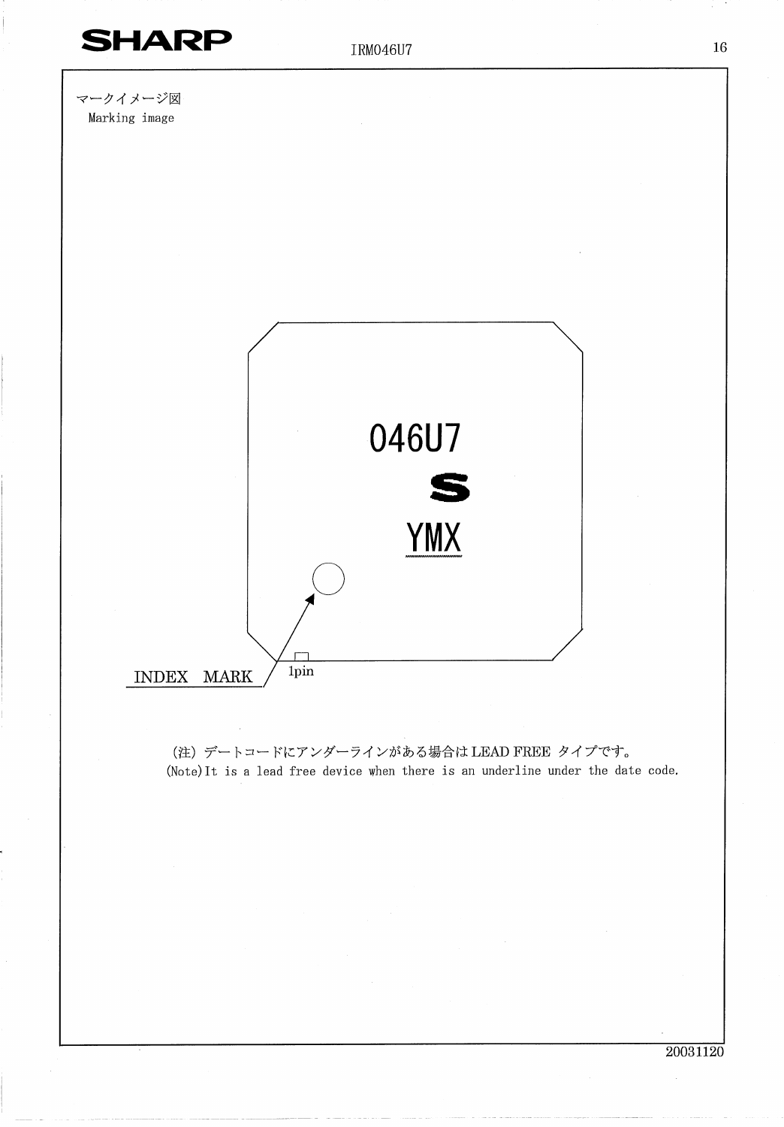

(注) デートコードにアンダーラインがある場合は LEAD FREE タイプです。 (Note) It is a lead free device when there is an underline under the date code.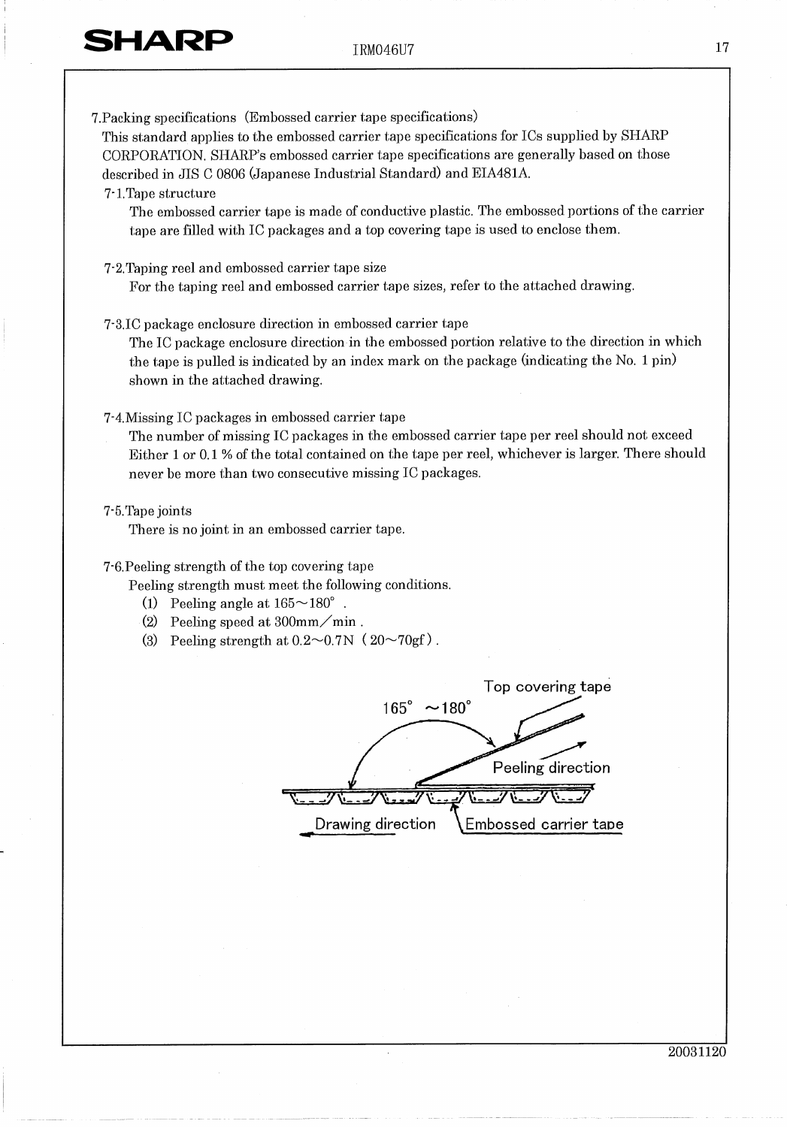17

7. Packing specifications (Embossed carrier tape specifications)

This standard applies to the embossed carrier tape specifications for ICs supplied by SHARP CORPORATION. SHARP's embossed carrier tape specifications are generally based on those described in JIS C 0806 (Japanese Industrial Standard) and EIA481A.

#### 7-1. Tape structure

The embossed carrier tape is made of conductive plastic. The embossed portions of the carrier tape are filled with IC packages and a top covering tape is used to enclose them.

- 7.2. Taping reel and embossed carrier tape size For the taping reel and embossed carrier tape sizes, refer to the attached drawing.
- 7-3.IC package enclosure direction in embossed carrier tape

The IC package enclosure direction in the embossed portion relative to the direction in which the tape is pulled is indicated by an index mark on the package (indicating the No. 1 pin) shown in the attached drawing.

### 7.4. Missing IC packages in embossed carrier tape

The number of missing IC packages in the embossed carrier tape per reel should not exceed Either 1 or 0.1 % of the total contained on the tape per reel, whichever is larger. There should never be more than two consecutive missing IC packages.

#### 7-5. Tape joints

There is no joint in an embossed carrier tape.

### 7-6. Peeling strength of the top covering tape

Peeling strength must meet the following conditions.

- (1) Peeling angle at  $165 \sim 180^\circ$ .
- (2) Peeling speed at  $300 \text{mm} / \text{min}$ .
- (3) Peeling strength at  $0.2 \sim 0.7$ N ( $20 \sim 70$ gf).

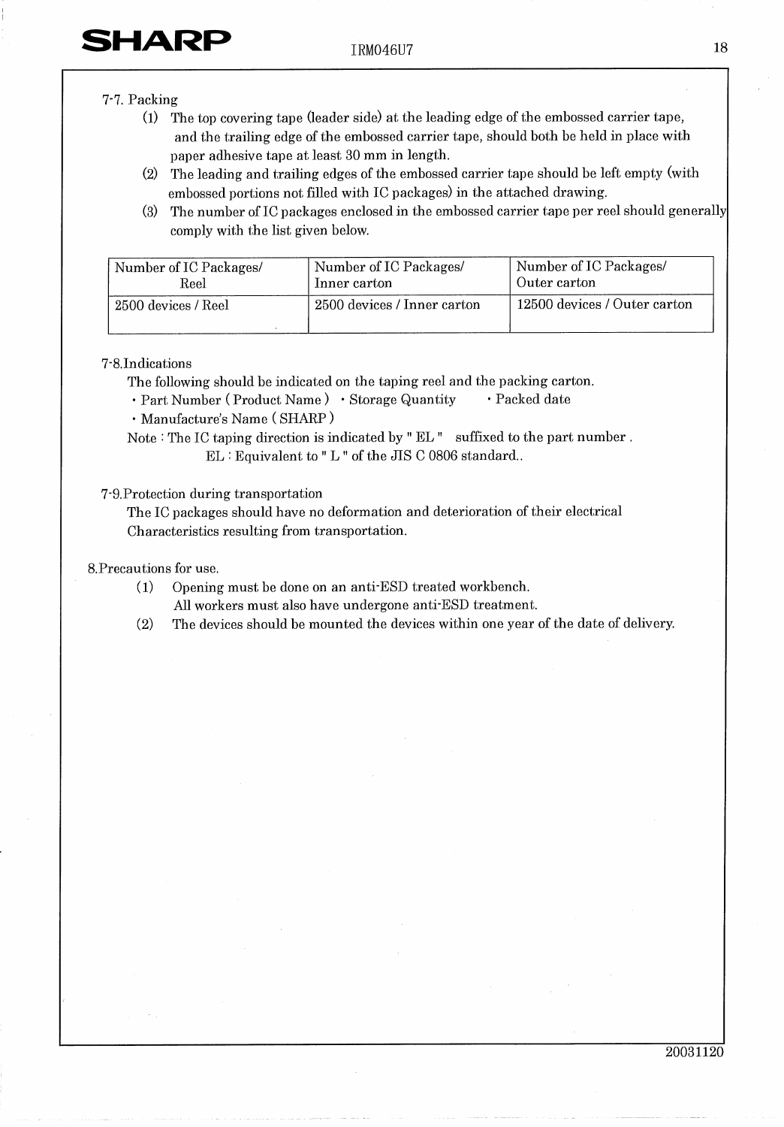**SHARP** 

### 7-7. Packing

- The top covering tape (leader side) at the leading edge of the embossed carrier tape,  $(1)$ and the trailing edge of the embossed carrier tape, should both be held in place with paper adhesive tape at least 30 mm in length.
- $(2)$ The leading and trailing edges of the embossed carrier tape should be left empty (with embossed portions not filled with IC packages) in the attached drawing.
- $(3)$ The number of IC packages enclosed in the embossed carrier tape per reel should generally comply with the list given below.

| Number of IC Packages/ | Number of IC Packages/      | Number of IC Packages/       |
|------------------------|-----------------------------|------------------------------|
| Reel                   | Inner carton                | Outer carton                 |
| 2500 devices / Reel    | 2500 devices / Inner carton | 12500 devices / Outer carton |

#### 7-8.Indications

The following should be indicated on the taping reel and the packing carton.

- · Packed date · Part Number (Product Name) · Storage Quantity
- · Manufacture's Name (SHARP)

Note : The IC taping direction is indicated by "EL" suffixed to the part number. EL : Equivalent to "L " of the JIS C 0806 standard..

#### 7-9. Protection during transportation

The IC packages should have no deformation and deterioration of their electrical Characteristics resulting from transportation.

#### 8. Precautions for use.

- $(1)$ Opening must be done on an anti-ESD treated workbench.
	- All workers must also have undergone anti-ESD treatment.
- The devices should be mounted the devices within one year of the date of delivery.  $(2)$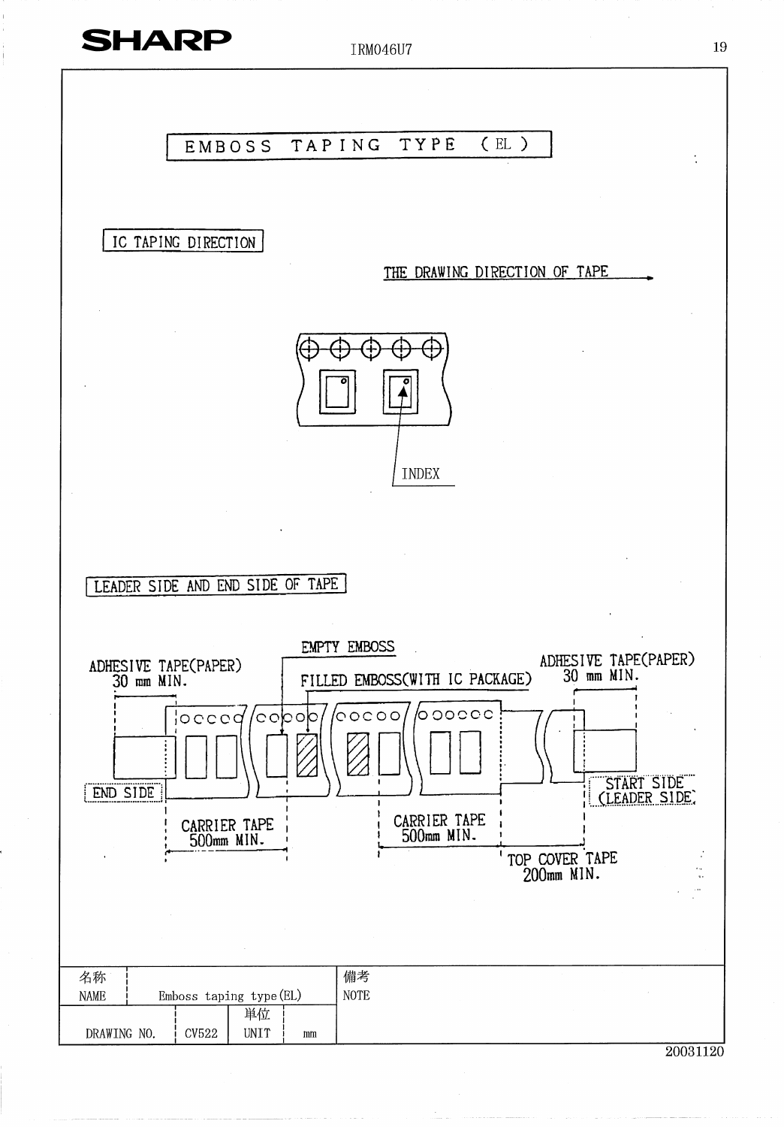

IRM046U7

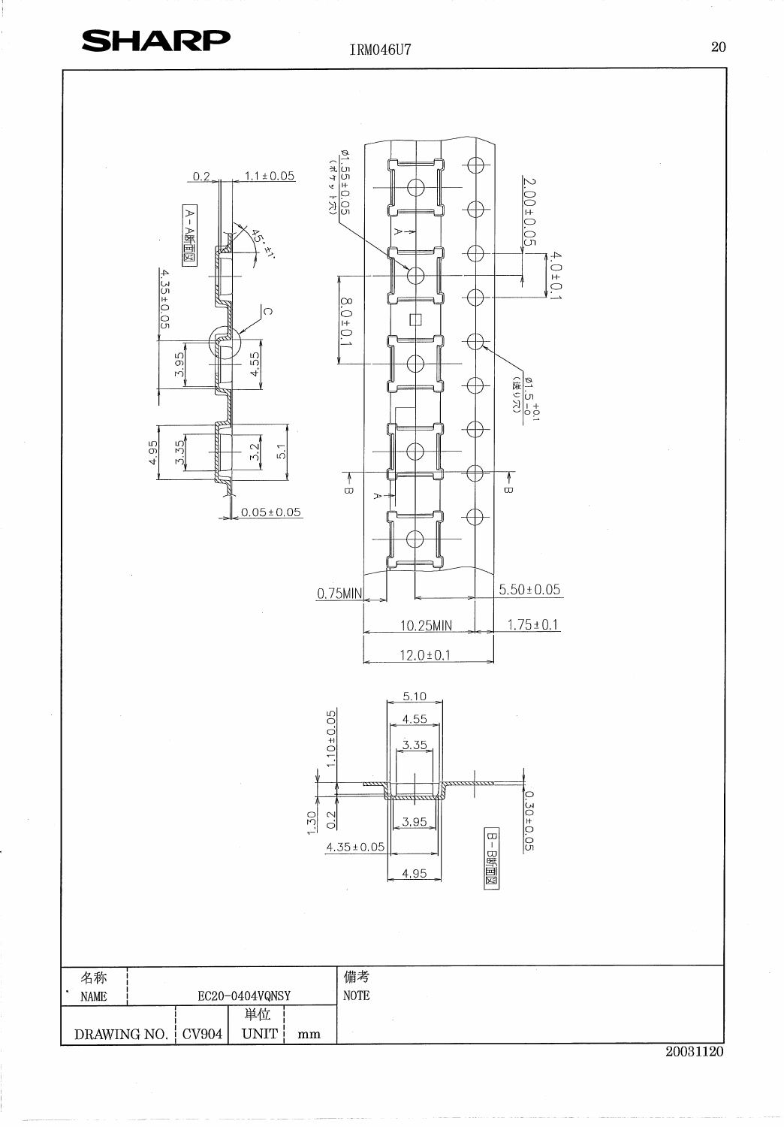IRM046U7

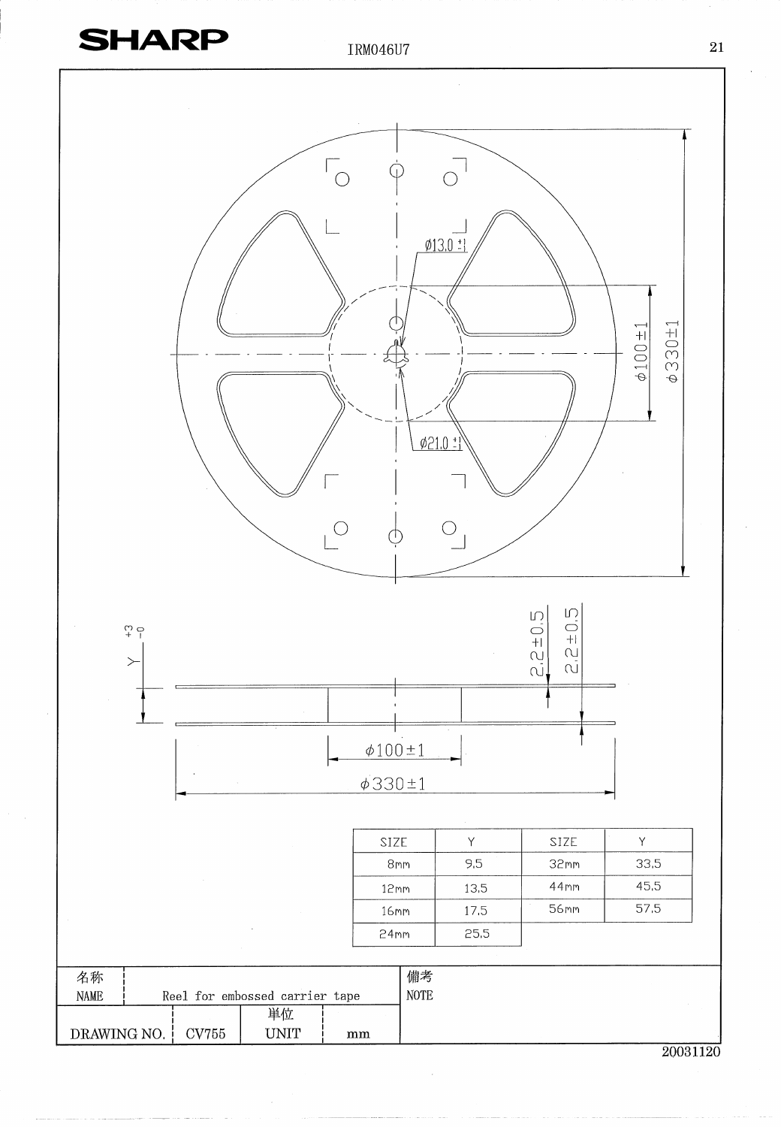



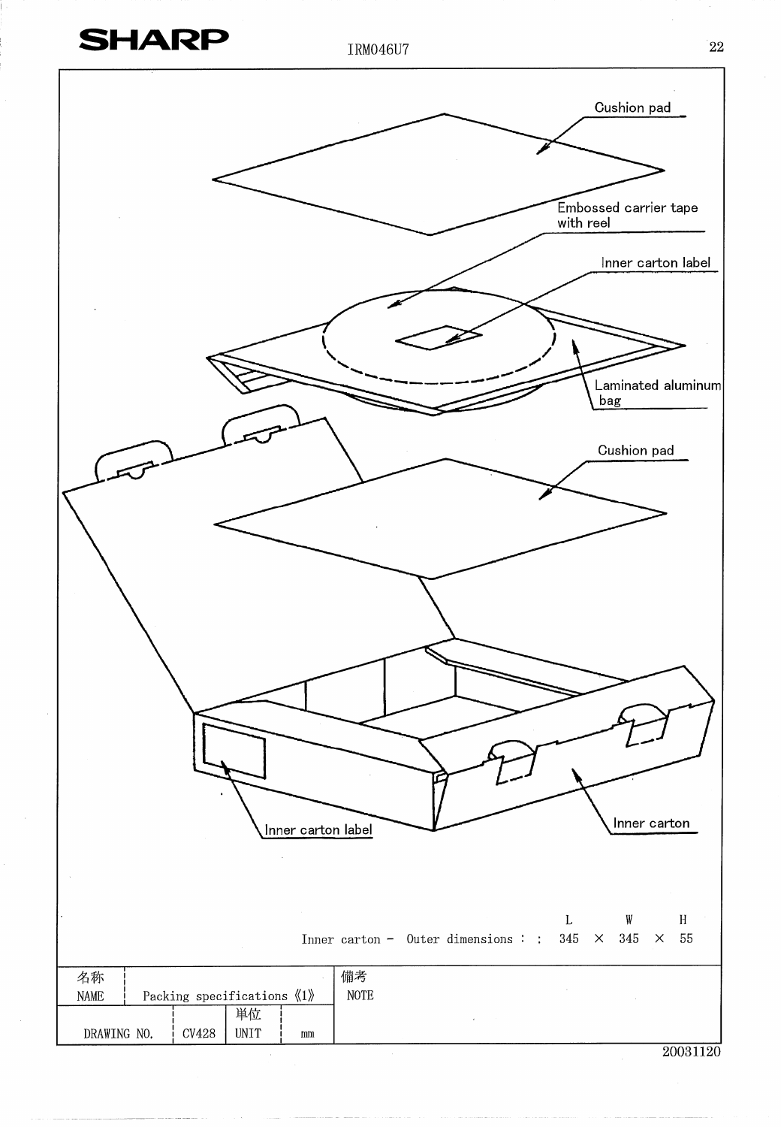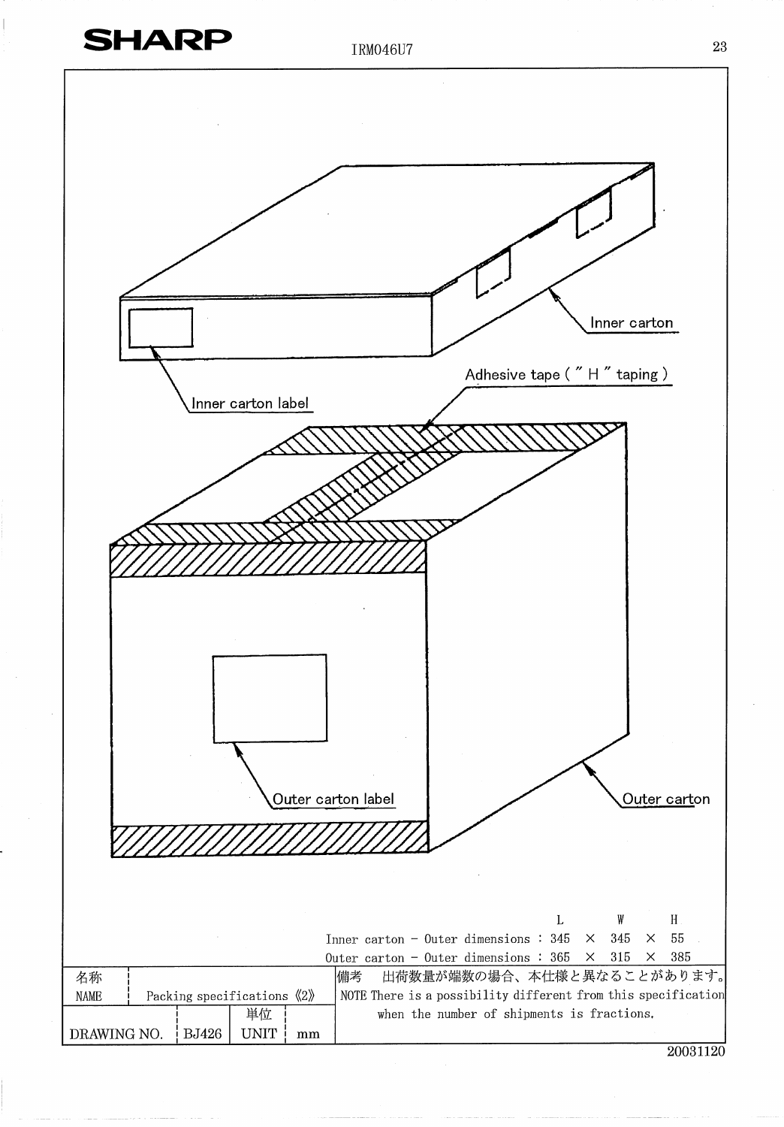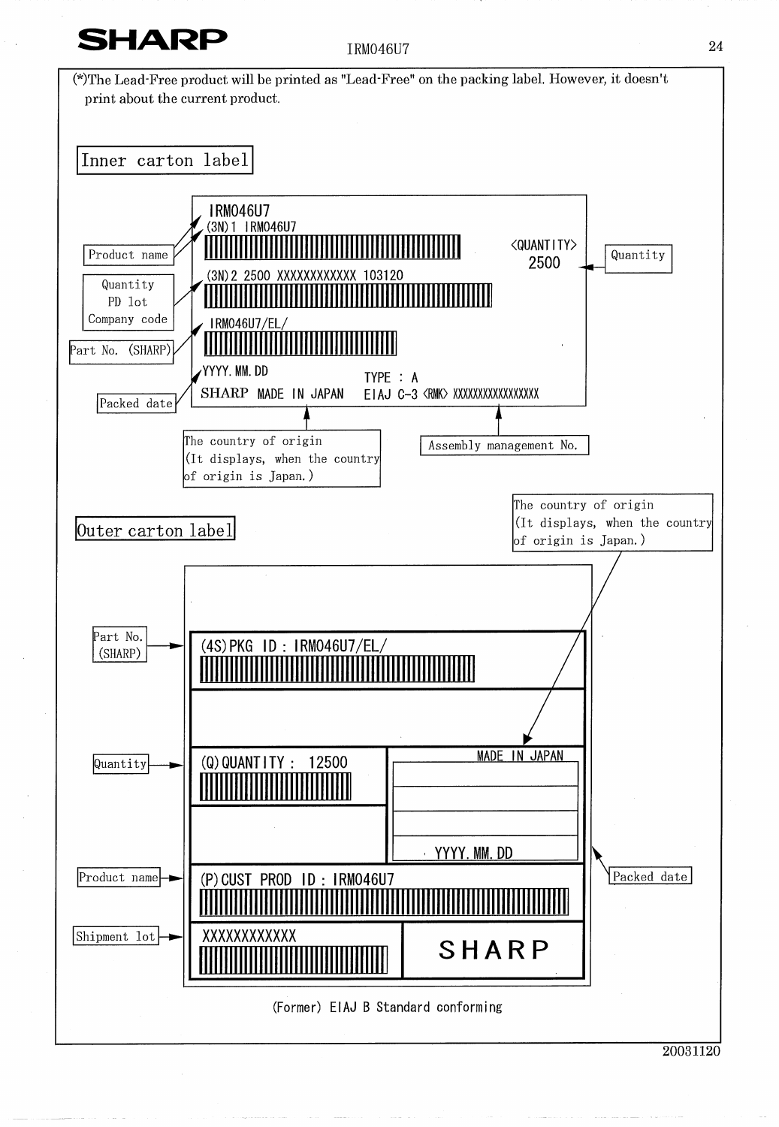

**IRM046U7**